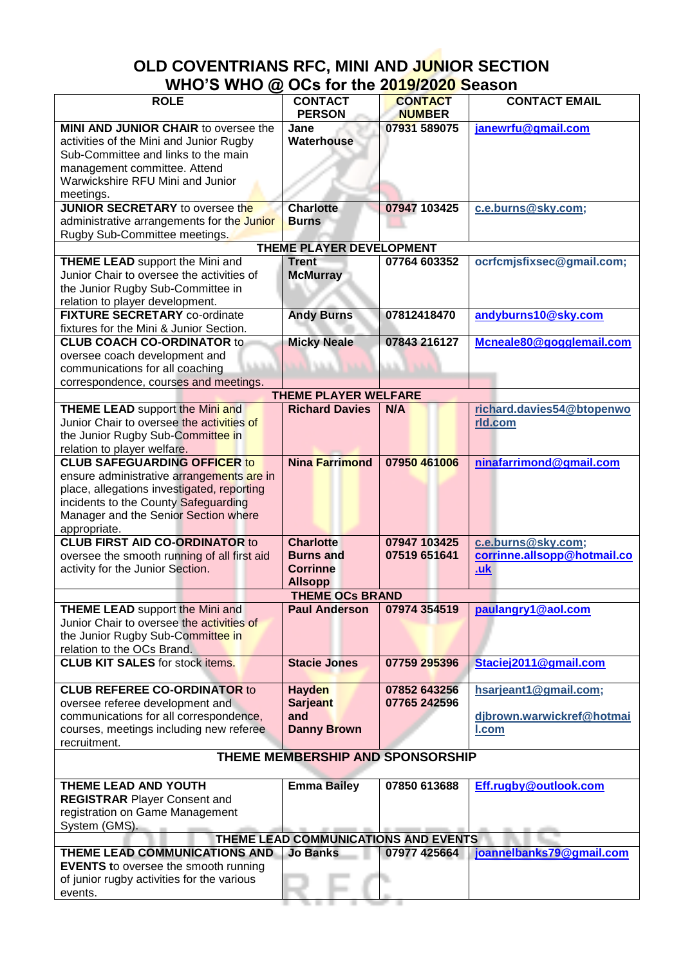## **OLD COVENTRIANS RFC, MINI AND JUNIOR SECTION WHO'S WHO @ OCs for the 2019/2020 Season**

| <b>ROLE</b>                                 | <b>CONTACT</b>        | <b>CONTACT</b> | <b>CONTACT EMAIL</b>        |
|---------------------------------------------|-----------------------|----------------|-----------------------------|
|                                             | <b>PERSON</b>         | <b>NUMBER</b>  |                             |
| MINI AND JUNIOR CHAIR to oversee the        | Jane                  | 07931 589075   | janewrfu@gmail.com          |
| activities of the Mini and Junior Rugby     | Waterhouse            |                |                             |
|                                             |                       |                |                             |
| Sub-Committee and links to the main         |                       |                |                             |
| management committee. Attend                |                       |                |                             |
| Warwickshire RFU Mini and Junior            |                       |                |                             |
| meetings.                                   |                       |                |                             |
| <b>JUNIOR SECRETARY</b> to oversee the      | <b>Charlotte</b>      | 07947 103425   | c.e.burns@sky.com;          |
| administrative arrangements for the Junior  | <b>Burns</b>          |                |                             |
|                                             |                       |                |                             |
| Rugby Sub-Committee meetings.               |                       |                |                             |
| <b>THEME PLAYER DEVELOPMENT</b>             |                       |                |                             |
| <b>THEME LEAD</b> support the Mini and      | <b>Trent</b>          | 07764 603352   | ocrfcmjsfixsec@gmail.com;   |
| Junior Chair to oversee the activities of   | <b>McMurray</b>       |                |                             |
| the Junior Rugby Sub-Committee in           |                       |                |                             |
| relation to player development.             |                       |                |                             |
| <b>FIXTURE SECRETARY co-ordinate</b>        |                       | 07812418470    |                             |
|                                             | <b>Andy Burns</b>     |                | andyburns10@sky.com         |
| fixtures for the Mini & Junior Section.     |                       |                |                             |
| <b>CLUB COACH CO-ORDINATOR to</b>           | <b>Micky Neale</b>    | 07843 216127   | Mcneale80@gogglemail.com    |
| oversee coach development and               |                       |                |                             |
| communications for all coaching             |                       | <b>SALE</b>    |                             |
| correspondence, courses and meetings.       |                       |                |                             |
|                                             |                       |                |                             |
| <b>THEME PLAYER WELFARE</b>                 |                       |                |                             |
| <b>THEME LEAD</b> support the Mini and      | <b>Richard Davies</b> | N/A            | richard.davies54@btopenwo   |
| Junior Chair to oversee the activities of   |                       |                | rld.com                     |
| the Junior Rugby Sub-Committee in           |                       |                |                             |
| relation to player welfare.                 |                       |                |                             |
| <b>CLUB SAFEGUARDING OFFICER to</b>         | <b>Nina Farrimond</b> | 07950 461006   | ninafarrimond@gmail.com     |
|                                             |                       |                |                             |
| ensure administrative arrangements are in   |                       |                |                             |
| place, allegations investigated, reporting  |                       |                |                             |
| incidents to the County Safeguarding        |                       |                |                             |
| Manager and the Senior Section where        |                       |                |                             |
| appropriate.                                |                       |                |                             |
| <b>CLUB FIRST AID CO-ORDINATOR to</b>       | <b>Charlotte</b>      | 07947 103425   | c.e.burns@sky.com;          |
| oversee the smooth running of all first aid | <b>Burns and</b>      | 07519 651641   | corrinne.allsopp@hotmail.co |
|                                             |                       |                |                             |
| activity for the Junior Section.            | <b>Corrinne</b>       |                | .uk                         |
|                                             | <b>Allsopp</b>        |                |                             |
| <b>THEME OCS BRAND</b>                      |                       |                |                             |
| <b>THEME LEAD</b> support the Mini and      | <b>Paul Anderson</b>  | 07974 354519   | paulangry1@aol.com          |
| Junior Chair to oversee the activities of   |                       |                |                             |
| the Junior Rugby Sub-Committee in           |                       |                |                             |
|                                             |                       |                |                             |
| relation to the OCs Brand.                  |                       |                |                             |
| <b>CLUB KIT SALES</b> for stock items.      | <b>Stacie Jones</b>   | 07759 295396   | Staciej2011@gmail.com       |
|                                             |                       |                |                             |
| <b>CLUB REFEREE CO-ORDINATOR to</b>         | Hayden                | 07852 643256   | hsarjeant1@gmail.com;       |
| oversee referee development and             | <b>Sarjeant</b>       | 07765 242596   |                             |
| communications for all correspondence,      | and                   |                | djbrown.warwickref@hotmai   |
| courses, meetings including new referee     |                       |                |                             |
|                                             | <b>Danny Brown</b>    |                | I.com                       |
| recruitment.                                |                       |                |                             |
| THEME MEMBERSHIP AND SPONSORSHIP            |                       |                |                             |
|                                             |                       |                |                             |
| THEME LEAD AND YOUTH                        | <b>Emma Bailey</b>    | 07850 613688   | Eff.rugby@outlook.com       |
| <b>REGISTRAR Player Consent and</b>         |                       |                |                             |
|                                             |                       |                |                             |
| registration on Game Management             |                       |                |                             |
| System (GMS).                               |                       |                |                             |
| THEME LEAD COMMUNICATIONS AND EVENTS        |                       |                |                             |
| THEME LEAD COMMUNICATIONS AND               | <b>Jo Banks</b>       | 07977 425664   | joannelbanks79@gmail.com    |
| <b>EVENTS</b> to oversee the smooth running |                       |                |                             |
| of junior rugby activities for the various  |                       |                |                             |
|                                             |                       |                |                             |
| events.                                     |                       |                |                             |

a sa bailtean